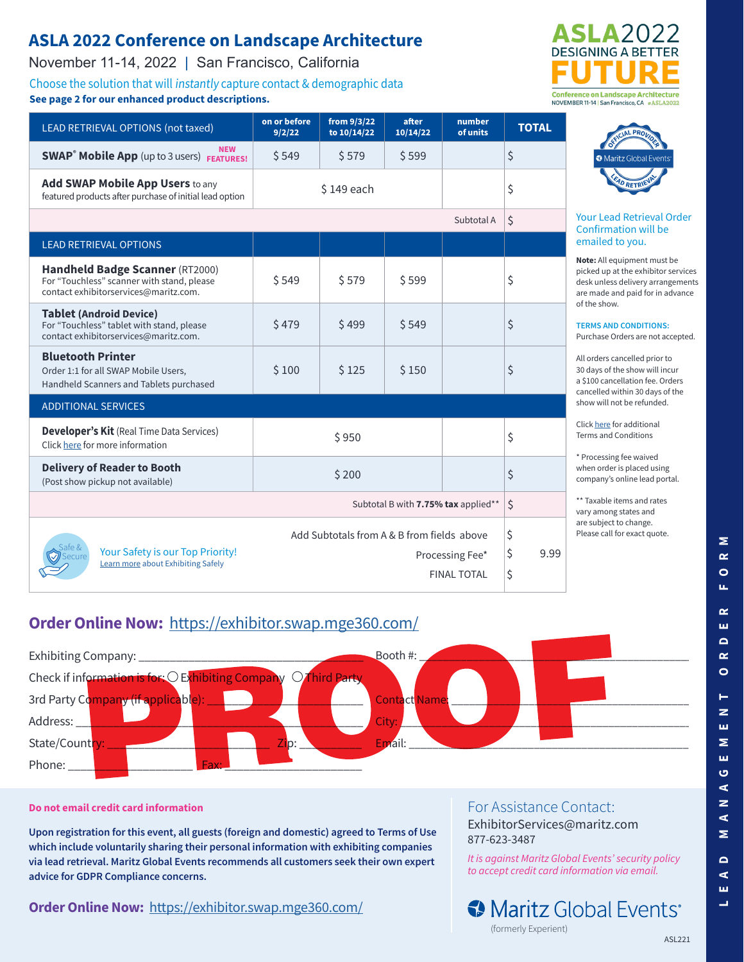## **ASLA 2022 Conference on Landscape Architecture**

November 11-14, 2022 | San Francisco, California

LEAD RETRIEVAL OPTIONS (not taxed) **on or before**

Choose the solution that will instantly capture contact & demographic data **See page 2 for our enhanced product descriptions.**

**FEATURES!**





#### Your Lead Retrieval Order Confirmation will be emailed to you.

**Note:** All equipment must be picked up at the exhibitor services desk unless delivery arrangements are made and paid for in advance of the show.

### **TERMS AND CONDITIONS:**

Purchase Orders are not accepted.

All orders cancelled prior to 30 days of the show will incur a \$100 cancellation fee. Orders cancelled within 30 days of the show will not be refunded.

Click [here](https://md.swap.mge360.com/content/exhibitor/orderTermsAndConditions.pdf) for additional Terms and Conditions

\* Processing fee waived when order is placed using company's online lead portal.

\*\* Taxable items and rates vary among states and are subject to change. Please call for exact quote.

| Add SWAP Mobile App Users to any<br>featured products after purchase of initial lead option                                   |                                            | \$149 each             |       |            | \$ |
|-------------------------------------------------------------------------------------------------------------------------------|--------------------------------------------|------------------------|-------|------------|----|
|                                                                                                                               |                                            |                        |       | Subtotal A | \$ |
| <b>LEAD RETRIEVAL OPTIONS</b>                                                                                                 |                                            |                        |       |            |    |
| <b>Handheld Badge Scanner (RT2000)</b><br>For "Touchless" scanner with stand, please<br>contact exhibitorservices@maritz.com. | \$549                                      | \$579                  | \$599 |            | \$ |
| <b>Tablet (Android Device)</b><br>For "Touchless" tablet with stand, please<br>contact exhibitorservices@maritz.com.          | \$479                                      | \$499                  | \$549 |            | \$ |
| <b>Bluetooth Printer</b><br>Order 1:1 for all SWAP Mobile Users,<br>Handheld Scanners and Tablets purchased                   | \$100                                      | \$125                  | \$150 |            | \$ |
| <b>ADDITIONAL SERVICES</b>                                                                                                    |                                            |                        |       |            |    |
| <b>Developer's Kit</b> (Real Time Data Services)<br>Click here for more information                                           | \$950                                      |                        |       | \$         |    |
| <b>Delivery of Reader to Booth</b><br>(Post show pickup not available)                                                        |                                            | \$                     |       |            |    |
| Subtotal B with 7.75% tax applied**                                                                                           |                                            |                        |       |            |    |
| <b>Your Safety is our Top Priority!</b><br><b>Learn more about Exhibiting Safely</b>                                          | Add Subtotals from A & B from fields above | \$<br>\$<br>9.99<br>\$ |       |            |    |

**9/2/22**

**SWAP<sup>®</sup> Mobile App** (up to 3 users) **FEATURES!** \$549 \$579 \$599 \$599 \$599 \$\$599 \$\$

**from 9/3/22 to 10/14/22**

**after 10/14/22** **number** 

**of units TOTAL**

## **Order Online Now:** <https://exhibitor.swap.mge360.com/>



### **Do not email credit card information**

**Upon registration for this event, all guests (foreign and domestic) agreed to Terms of Use which include voluntarily sharing their personal information with exhibiting companies via lead retrieval. Maritz Global Events recommends all customers seek their own expert advice for GDPR Compliance concerns.**

### **Order Online Now:** <https://exhibitor.swap.mge360.com/>

## For Assistance Contact:

ExhibitorServices@maritz.com 877-623-3487

*It is against Maritz Global Events' security policy to accept credit card information via email.*

## Maritz Global Events (formerly Experient)

ᅼ

Σ